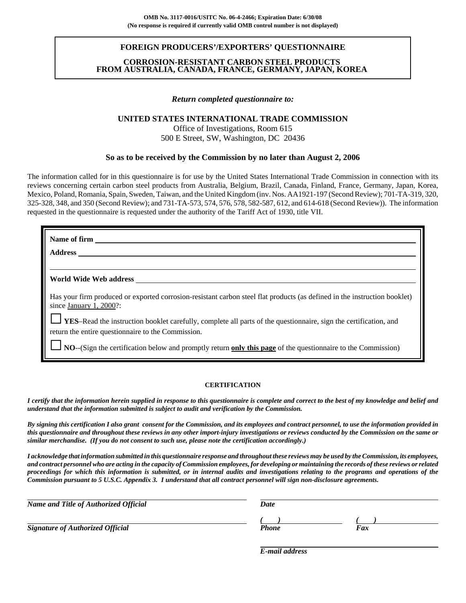### **FOREIGN PRODUCERS'/EXPORTERS' QUESTIONNAIRE**

### **CORROSION-RESISTANT CARBON STEEL PRODUCTS FROM AUSTRALIA, CANADA, FRANCE, GERMANY, JAPAN, KOREA**

#### *Return completed questionnaire to:*

#### **UNITED STATES INTERNATIONAL TRADE COMMISSION**

Office of Investigations, Room 615 500 E Street, SW, Washington, DC 20436

#### **So as to be received by the Commission by no later than August 2, 2006**

The information called for in this questionnaire is for use by the United States International Trade Commission in connection with its reviews concerning certain carbon steel products from Australia, Belgium, Brazil, Canada, Finland, France, Germany, Japan, Korea, Mexico, Poland, Romania, Spain, Sweden, Taiwan, and the United Kingdom (inv. Nos. AA1921-197 (Second Review); 701-TA-319, 320, 325-328, 348, and 350 (Second Review); and 731-TA-573, 574, 576, 578, 582-587, 612, and 614-618 (Second Review)). The information requested in the questionnaire is requested under the authority of the Tariff Act of 1930, title VII.

| Name of firm                                                                                                                                         |
|------------------------------------------------------------------------------------------------------------------------------------------------------|
| <b>Address</b>                                                                                                                                       |
|                                                                                                                                                      |
| World Wide Web address                                                                                                                               |
| Has your firm produced or exported corrosion-resistant carbon steel flat products (as defined in the instruction booklet)<br>since January 1, 2000?: |
| <b>LES-Read the instruction booklet carefully, complete all parts of the questionnaire, sign the certification, and</b>                              |
| return the entire questionnaire to the Commission.                                                                                                   |
| $\Box$ NO--(Sign the certification below and promptly return only this page of the questionnaire to the Commission)                                  |

#### **CERTIFICATION**

*I certify that the information herein supplied in response to this questionnaire is complete and correct to the best of my knowledge and belief and understand that the information submitted is subject to audit and verification by the Commission.*

*By signing this certification I also grant consent for the Commission, and its employees and contract personnel, to use the information provided in this questionnaire and throughout these reviews in any other import-injury investigations or reviews conducted by the Commission on the same or similar merchandise. (If you do not consent to such use, please note the certification accordingly.)*

*I acknowledge that information submitted in this questionnaire response and throughout these reviews may be used by the Commission, its employees, and contract personnel who are acting in the capacity of Commission employees, for developing or maintaining the records of these reviews or related proceedings for which this information is submitted, or in internal audits and investigations relating to the programs and operations of the Commission pursuant to 5 U.S.C. Appendix 3. I understand that all contract personnel will sign non-disclosure agreements.*

| Name and Title of Authorized Official   | <b>Date</b>  |     |  |
|-----------------------------------------|--------------|-----|--|
| <b>Signature of Authorized Official</b> | <b>Phone</b> | Fax |  |

*E-mail address*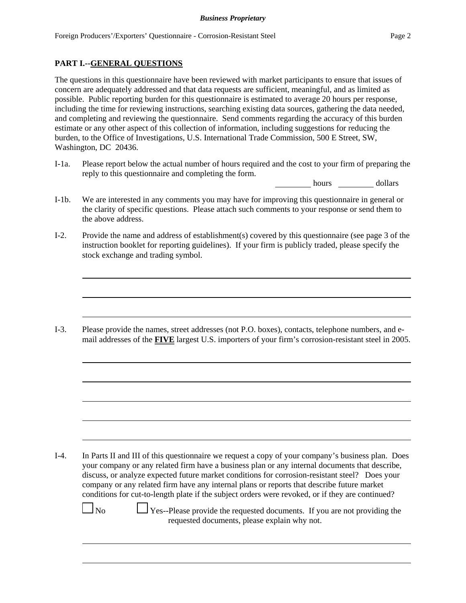## **PART I.--GENERAL QUESTIONS**

The questions in this questionnaire have been reviewed with market participants to ensure that issues of concern are adequately addressed and that data requests are sufficient, meaningful, and as limited as possible. Public reporting burden for this questionnaire is estimated to average 20 hours per response, including the time for reviewing instructions, searching existing data sources, gathering the data needed, and completing and reviewing the questionnaire. Send comments regarding the accuracy of this burden estimate or any other aspect of this collection of information, including suggestions for reducing the burden, to the Office of Investigations, U.S. International Trade Commission, 500 E Street, SW, Washington, DC 20436.

I-1a. Please report below the actual number of hours required and the cost to your firm of preparing the reply to this questionnaire and completing the form.

hours dollars

- I-1b. We are interested in any comments you may have for improving this questionnaire in general or the clarity of specific questions. Please attach such comments to your response or send them to the above address.
- I-2. Provide the name and address of establishment(s) covered by this questionnaire (see page 3 of the instruction booklet for reporting guidelines). If your firm is publicly traded, please specify the stock exchange and trading symbol.

I-3. Please provide the names, street addresses (not P.O. boxes), contacts, telephone numbers, and email addresses of the **FIVE** largest U.S. importers of your firm's corrosion-resistant steel in 2005.

I-4. In Parts II and III of this questionnaire we request a copy of your company's business plan. Does your company or any related firm have a business plan or any internal documents that describe, discuss, or analyze expected future market conditions for corrosion-resistant steel? Does your company or any related firm have any internal plans or reports that describe future market conditions for cut-to-length plate if the subject orders were revoked, or if they are continued?

 $\Box$  No  $\Box$  Yes--Please provide the requested documents. If you are not providing the requested documents, please explain why not.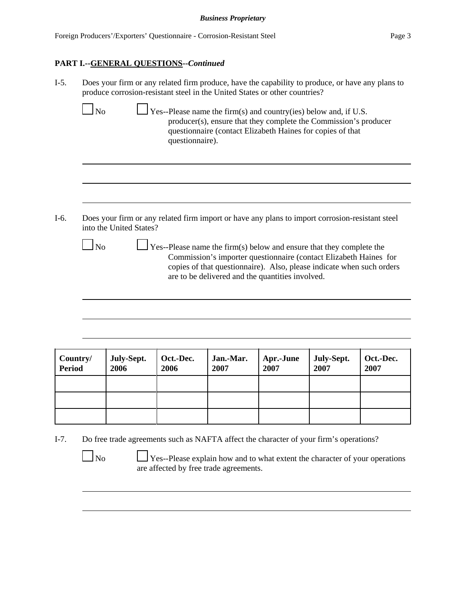# **PART I.--GENERAL QUESTIONS--***Continued*

| $I-5.$ |                        | Does your firm or any related firm produce, have the capability to produce, or have any plans to |                 | produce corrosion-resistant steel in the United States or other countries?                                                                                                                                                                                                                                                    |  |  |
|--------|------------------------|--------------------------------------------------------------------------------------------------|-----------------|-------------------------------------------------------------------------------------------------------------------------------------------------------------------------------------------------------------------------------------------------------------------------------------------------------------------------------|--|--|
|        | $\Box$ No              |                                                                                                  | questionnaire). | $\perp$ Yes--Please name the firm(s) and country(ies) below and, if U.S.<br>producer(s), ensure that they complete the Commission's producer<br>questionnaire (contact Elizabeth Haines for copies of that                                                                                                                    |  |  |
| $I-6.$ | $\overline{\text{No}}$ | into the United States?                                                                          |                 | Does your firm or any related firm import or have any plans to import corrosion-resistant steel<br>$\perp$ Yes--Please name the firm(s) below and ensure that they complete the<br>Commission's importer questionnaire (contact Elizabeth Haines for<br>copies of that questionnaire). Also, please indicate when such orders |  |  |
|        |                        |                                                                                                  |                 | are to be delivered and the quantities involved.                                                                                                                                                                                                                                                                              |  |  |
|        |                        |                                                                                                  |                 |                                                                                                                                                                                                                                                                                                                               |  |  |

| Country/<br><b>Period</b> | July-Sept.<br>2006 | Oct.-Dec.<br>2006 | Jan.-Mar.<br>2007 | <b>Apr.-June</b><br>2007 | July-Sept.<br>2007 | Oct.-Dec.<br>2007 |
|---------------------------|--------------------|-------------------|-------------------|--------------------------|--------------------|-------------------|
|                           |                    |                   |                   |                          |                    |                   |
|                           |                    |                   |                   |                          |                    |                   |
|                           |                    |                   |                   |                          |                    |                   |

I-7. Do free trade agreements such as NAFTA affect the character of your firm's operations?

 $\Box$  No  $\Box$  Yes--Please explain how and to what extent the character of your operations are affected by free trade agreements.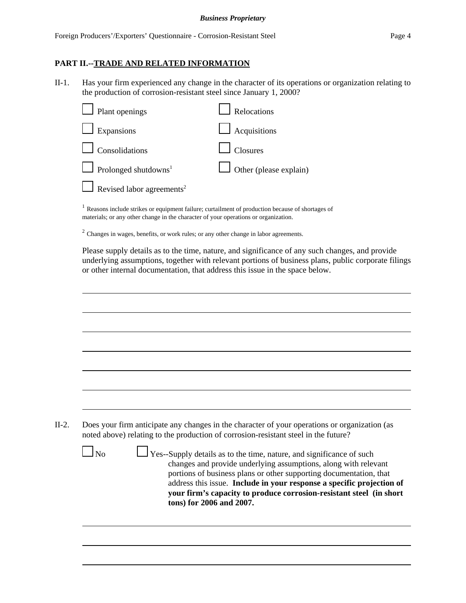#### *Business Proprietary*

### **PART II.--TRADE AND RELATED INFORMATION**

II-1. Has your firm experienced any change in the character of its operations or organization relating to the production of corrosion-resistant steel since January 1, 2000?

| $\Box$ Plant openings                   | Relocations                   |
|-----------------------------------------|-------------------------------|
| $\Box$ Expansions                       | $\Box$ Acquisitions           |
| $\Box$ Consolidations                   | Closures                      |
| $\Box$ Prolonged shutdowns <sup>1</sup> | $\Box$ Other (please explain) |
| Revised labor agreements <sup>2</sup>   |                               |
|                                         |                               |

<sup>1</sup> Reasons include strikes or equipment failure; curtailment of production because of shortages of materials; or any other change in the character of your operations or organization.

<sup>2</sup> Changes in wages, benefits, or work rules; or any other change in labor agreements.

Please supply details as to the time, nature, and significance of any such changes, and provide underlying assumptions, together with relevant portions of business plans, public corporate filings or other internal documentation, that address this issue in the space below.

| noted above) relating to the production of corrosion-resistant steel in the future?<br>$\Box$ Yes--Supply details as to the time, nature, and significance of such<br>N <sub>0</sub><br>changes and provide underlying assumptions, along with relevant<br>tons) for 2006 and 2007.                                 |  |
|---------------------------------------------------------------------------------------------------------------------------------------------------------------------------------------------------------------------------------------------------------------------------------------------------------------------|--|
| Does your firm anticipate any changes in the character of your operations or organization (as<br>portions of business plans or other supporting documentation, that<br>address this issue. Include in your response a specific projection of<br>your firm's capacity to produce corrosion-resistant steel (in short |  |
|                                                                                                                                                                                                                                                                                                                     |  |
|                                                                                                                                                                                                                                                                                                                     |  |
|                                                                                                                                                                                                                                                                                                                     |  |
|                                                                                                                                                                                                                                                                                                                     |  |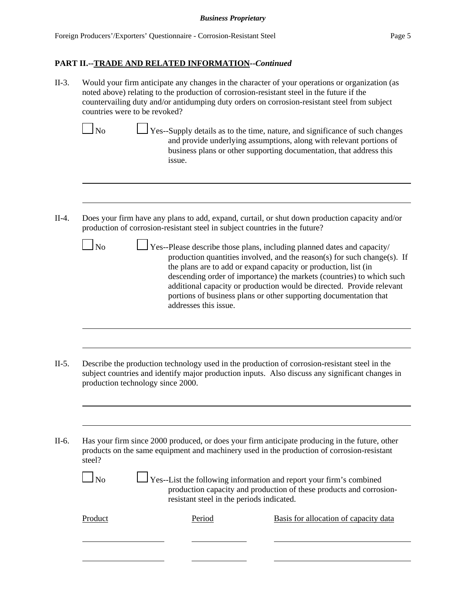II-3. Would your firm anticipate any changes in the character of your operations or organization (as noted above) relating to the production of corrosion-resistant steel in the future if the countervailing duty and/or antidumping duty orders on corrosion-resistant steel from subject countries were to be revoked?

- $\Box$  No  $\Box$  Yes--Supply details as to the time, nature, and significance of such changes and provide underlying assumptions, along with relevant portions of business plans or other supporting documentation, that address this issue.
- II-4. Does your firm have any plans to add, expand, curtail, or shut down production capacity and/or production of corrosion-resistant steel in subject countries in the future?
	- $\Box$  Yes--Please describe those plans, including planned dates and capacity/ production quantities involved, and the reason(s) for such change(s). If the plans are to add or expand capacity or production, list (in descending order of importance) the markets (countries) to which such additional capacity or production would be directed. Provide relevant portions of business plans or other supporting documentation that addresses this issue.
- II-5. Describe the production technology used in the production of corrosion-resistant steel in the subject countries and identify major production inputs. Also discuss any significant changes in production technology since 2000.

II-6. Has your firm since 2000 produced, or does your firm anticipate producing in the future, other products on the same equipment and machinery used in the production of corrosion-resistant steel?

|--|

 $\Box$  Yes--List the following information and report your firm's combined production capacity and production of these products and corrosionresistant steel in the periods indicated.

| ı<br>rroquet |
|--------------|
|              |

Period Basis for allocation of capacity data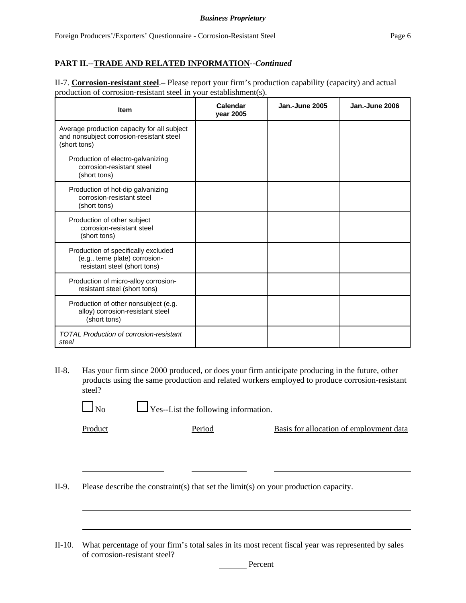II-7. **Corrosion-resistant steel**.– Please report your firm's production capability (capacity) and actual production of corrosion-resistant steel in your establishment(s).

| <b>Item</b>                                                                                             | Calendar<br>year 2005 | <b>Jan.-June 2005</b> | Jan.-June 2006 |
|---------------------------------------------------------------------------------------------------------|-----------------------|-----------------------|----------------|
| Average production capacity for all subject<br>and nonsubject corrosion-resistant steel<br>(short tons) |                       |                       |                |
| Production of electro-galvanizing<br>corrosion-resistant steel<br>(short tons)                          |                       |                       |                |
| Production of hot-dip galvanizing<br>corrosion-resistant steel<br>(short tons)                          |                       |                       |                |
| Production of other subject<br>corrosion-resistant steel<br>(short tons)                                |                       |                       |                |
| Production of specifically excluded<br>(e.g., terne plate) corrosion-<br>resistant steel (short tons)   |                       |                       |                |
| Production of micro-alloy corrosion-<br>resistant steel (short tons)                                    |                       |                       |                |
| Production of other nonsubject (e.g.<br>alloy) corrosion-resistant steel<br>(short tons)                |                       |                       |                |
| <b>TOTAL Production of corrosion-resistant</b><br>steel                                                 |                       |                       |                |

II-8. Has your firm since 2000 produced, or does your firm anticipate producing in the future, other products using the same production and related workers employed to produce corrosion-resistant steel?

 $\Box$  No  $\Box$  Yes--List the following information.

Product Period Basis for allocation of employment data

<u> Alexandria de la contrada de la contrada de la contrada de la contrada de la contrada de la contrada de la c</u>

II-9. Please describe the constraint(s) that set the limit(s) on your production capacity.

 $\overline{\phantom{a}}$  . The contract of  $\overline{\phantom{a}}$ 

II-10. What percentage of your firm's total sales in its most recent fiscal year was represented by sales of corrosion-resistant steel?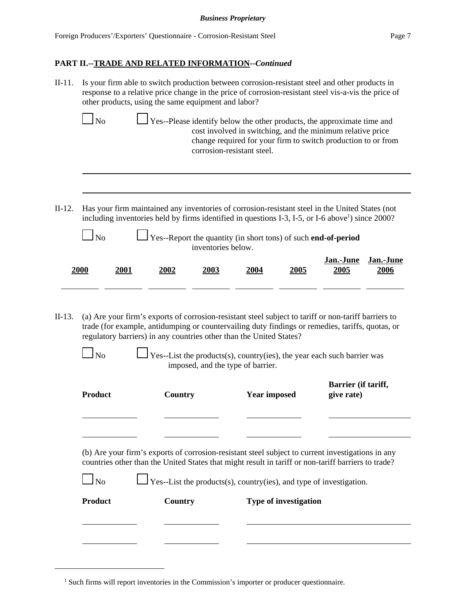| II-11. Is your firm able to switch production between corrosion-resistant steel and other products in |
|-------------------------------------------------------------------------------------------------------|
| response to a relative price change in the price of corrosion-resistant steel vis-a-vis the price of  |
| other products, using the same equipment and labor?                                                   |

| N <sub>o</sub> | $\Box$ Yes--Please identify below the other products, the approximate time and |
|----------------|--------------------------------------------------------------------------------|
|                | cost involved in switching, and the minimum relative price                     |
|                | change required for your firm to switch production to or from                  |
|                | corrosion-resistant steel.                                                     |
|                |                                                                                |

II-12. Has your firm maintained any inventories of corrosion-resistant steel in the United States (not including inventories held by firms identified in questions I-3, I-5, or I-6 above<sup>1</sup>) since 2000?

| $\Box$ No | $\Box$ Yes--Report the quantity (in short tons) of such <b>end-of-period</b> |
|-----------|------------------------------------------------------------------------------|
|           | inventories below.                                                           |

| 2000 | <b>2001</b> | 2002 | 2003 | 2004 | 2005 | Jan.-June<br>2005 | Jan.-June<br>2006 |
|------|-------------|------|------|------|------|-------------------|-------------------|
|      |             |      |      |      |      |                   |                   |

- II-13. (a) Are your firm's exports of corrosion-resistant steel subject to tariff or non-tariff barriers to trade (for example, antidumping or countervailing duty findings or remedies, tariffs, quotas, or regulatory barriers) in any countries other than the United States?
	-

 $\Box$  Yes--List the products(s), country(ies), the year each such barrier was imposed, and the type of barrier.

| Product | Country | <b>Year imposed</b> | Barrier (if tariff,<br>give rate) |
|---------|---------|---------------------|-----------------------------------|
|         |         |                     |                                   |

(b) Are your firm's exports of corrosion-resistant steel subject to current investigations in any countries other than the United States that might result in tariff or non-tariff barriers to trade?

| Product   | Country | <b>Type of investigation</b>                                               |
|-----------|---------|----------------------------------------------------------------------------|
| $\Box$ No |         | $\Box$ Yes--List the products(s), country(ies), and type of investigation. |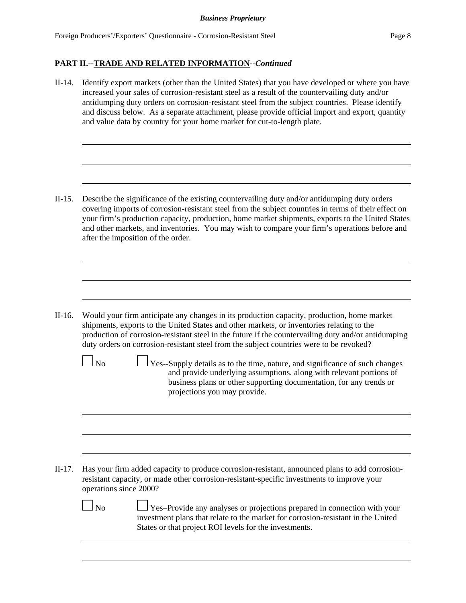II-14. Identify export markets (other than the United States) that you have developed or where you have increased your sales of corrosion-resistant steel as a result of the countervailing duty and/or antidumping duty orders on corrosion-resistant steel from the subject countries. Please identify and discuss below. As a separate attachment, please provide official import and export, quantity and value data by country for your home market for cut-to-length plate.

II-15. Describe the significance of the existing countervailing duty and/or antidumping duty orders covering imports of corrosion-resistant steel from the subject countries in terms of their effect on your firm's production capacity, production, home market shipments, exports to the United States and other markets, and inventories. You may wish to compare your firm's operations before and after the imposition of the order.

II-16. Would your firm anticipate any changes in its production capacity, production, home market shipments, exports to the United States and other markets, or inventories relating to the production of corrosion-resistant steel in the future if the countervailing duty and/or antidumping duty orders on corrosion-resistant steel from the subject countries were to be revoked?

 $\perp$  Yes--Supply details as to the time, nature, and significance of such changes and provide underlying assumptions, along with relevant portions of business plans or other supporting documentation, for any trends or projections you may provide.

II-17. Has your firm added capacity to produce corrosion-resistant, announced plans to add corrosionresistant capacity, or made other corrosion-resistant-specific investments to improve your operations since 2000?

 $\Box$  No  $\Box$  Yes–Provide any analyses or projections prepared in connection with your investment plans that relate to the market for corrosion-resistant in the United States or that project ROI levels for the investments.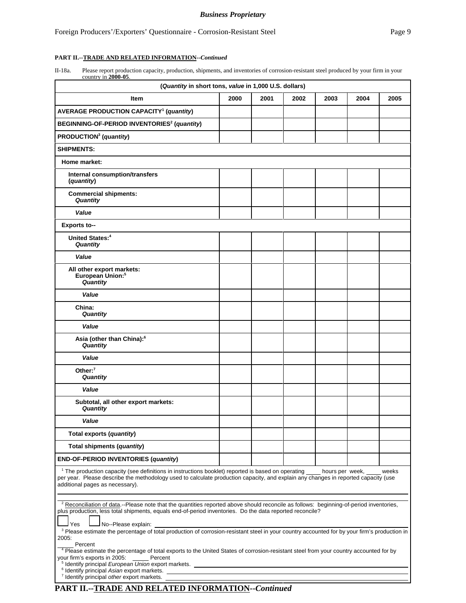II-18a. Please report production capacity, production, shipments, and inventories of corrosion-resistant steel produced by your firm in your country in **2000-05**.

| (Quantity in short tons, value in 1,000 U.S. dollars)                                                                                                                                                                                                                                                                                                                                                                                                         |      |      |      |      |      |       |
|---------------------------------------------------------------------------------------------------------------------------------------------------------------------------------------------------------------------------------------------------------------------------------------------------------------------------------------------------------------------------------------------------------------------------------------------------------------|------|------|------|------|------|-------|
| Item                                                                                                                                                                                                                                                                                                                                                                                                                                                          | 2000 | 2001 | 2002 | 2003 | 2004 | 2005  |
| <b>AVERAGE PRODUCTION CAPACITY<sup>1</sup> (quantity)</b>                                                                                                                                                                                                                                                                                                                                                                                                     |      |      |      |      |      |       |
| BEGINNING-OF-PERIOD INVENTORIES <sup>2</sup> (quantity)                                                                                                                                                                                                                                                                                                                                                                                                       |      |      |      |      |      |       |
| PRODUCTION <sup>3</sup> (quantity)                                                                                                                                                                                                                                                                                                                                                                                                                            |      |      |      |      |      |       |
| <b>SHIPMENTS:</b>                                                                                                                                                                                                                                                                                                                                                                                                                                             |      |      |      |      |      |       |
| Home market:                                                                                                                                                                                                                                                                                                                                                                                                                                                  |      |      |      |      |      |       |
| Internal consumption/transfers<br>(quantity)                                                                                                                                                                                                                                                                                                                                                                                                                  |      |      |      |      |      |       |
| <b>Commercial shipments:</b><br>Quantity                                                                                                                                                                                                                                                                                                                                                                                                                      |      |      |      |      |      |       |
| Value                                                                                                                                                                                                                                                                                                                                                                                                                                                         |      |      |      |      |      |       |
| <b>Exports to--</b>                                                                                                                                                                                                                                                                                                                                                                                                                                           |      |      |      |      |      |       |
| United States: <sup>4</sup><br>Quantity                                                                                                                                                                                                                                                                                                                                                                                                                       |      |      |      |      |      |       |
| Value                                                                                                                                                                                                                                                                                                                                                                                                                                                         |      |      |      |      |      |       |
| All other export markets:<br>European Union: <sup>5</sup><br>Quantity                                                                                                                                                                                                                                                                                                                                                                                         |      |      |      |      |      |       |
| Value                                                                                                                                                                                                                                                                                                                                                                                                                                                         |      |      |      |      |      |       |
| China:<br>Quantity                                                                                                                                                                                                                                                                                                                                                                                                                                            |      |      |      |      |      |       |
| Value                                                                                                                                                                                                                                                                                                                                                                                                                                                         |      |      |      |      |      |       |
| Asia (other than China):6<br>Quantity                                                                                                                                                                                                                                                                                                                                                                                                                         |      |      |      |      |      |       |
| Value                                                                                                                                                                                                                                                                                                                                                                                                                                                         |      |      |      |      |      |       |
| Other: $7$<br>Quantity                                                                                                                                                                                                                                                                                                                                                                                                                                        |      |      |      |      |      |       |
| Value                                                                                                                                                                                                                                                                                                                                                                                                                                                         |      |      |      |      |      |       |
| Subtotal, all other export markets:<br>Quantity                                                                                                                                                                                                                                                                                                                                                                                                               |      |      |      |      |      |       |
| Value                                                                                                                                                                                                                                                                                                                                                                                                                                                         |      |      |      |      |      |       |
| Total exports (quantity)                                                                                                                                                                                                                                                                                                                                                                                                                                      |      |      |      |      |      |       |
| Total shipments (quantity)                                                                                                                                                                                                                                                                                                                                                                                                                                    |      |      |      |      |      |       |
| <b>END-OF-PERIOD INVENTORIES (quantity)</b>                                                                                                                                                                                                                                                                                                                                                                                                                   |      |      |      |      |      |       |
| <sup>1</sup> The production capacity (see definitions in instructions booklet) reported is based on operating hours per week,<br>per year. Please describe the methodology used to calculate production capacity, and explain any changes in reported capacity (use<br>additional pages as necessary).                                                                                                                                                        |      |      |      |      |      | weeks |
| <sup>2</sup> Reconciliation of data.--Please note that the quantities reported above should reconcile as follows: beginning-of-period inventories,<br>plus production, less total shipments, equals end-of-period inventories. Do the data reported reconcile?                                                                                                                                                                                                |      |      |      |      |      |       |
| <b>Yes</b><br>No--Please explain:<br><sup>3</sup> Please estimate the percentage of total production of corrosion-resistant steel in your country accounted for by your firm's production in<br>2005:                                                                                                                                                                                                                                                         |      |      |      |      |      |       |
| Percent<br><sup>4</sup> Please estimate the percentage of total exports to the United States of corrosion-resistant steel from your country accounted for by<br>your firm's exports in 2005:<br>Percent<br><sup>5</sup> Identify principal <i>European Union</i> export markets. <u>The magnetic contract of the set of the set of the set of the set of the set of the set of the set of the set of the set of the set of the set of the set of the set </u> |      |      |      |      |      |       |
| <sup>6</sup> Identify principal Asian export markets.<br><sup>7</sup> Identify principal other export markets.                                                                                                                                                                                                                                                                                                                                                |      |      |      |      |      |       |
| PART II.--TRADE AND RELATED INFORMATION--Continued                                                                                                                                                                                                                                                                                                                                                                                                            |      |      |      |      |      |       |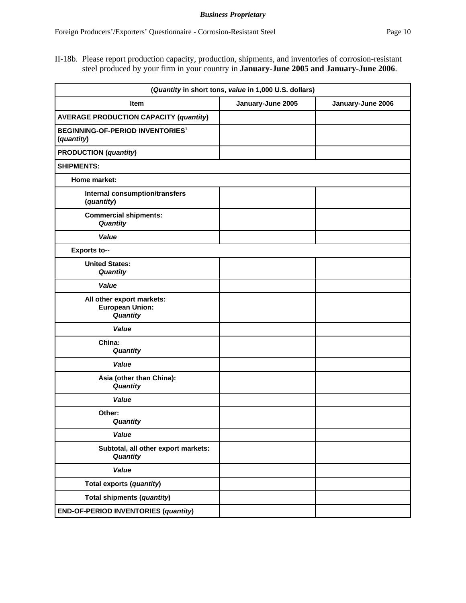II-18b. Please report production capacity, production, shipments, and inventories of corrosion-resistant steel produced by your firm in your country in **January-June 2005 and January-June 2006**.

|                                                                  | (Quantity in short tons, value in 1,000 U.S. dollars) |                   |
|------------------------------------------------------------------|-------------------------------------------------------|-------------------|
| <b>Item</b>                                                      | January-June 2005                                     | January-June 2006 |
| <b>AVERAGE PRODUCTION CAPACITY (quantity)</b>                    |                                                       |                   |
| <b>BEGINNING-OF-PERIOD INVENTORIES<sup>1</sup></b><br>(quantity) |                                                       |                   |
| <b>PRODUCTION</b> (quantity)                                     |                                                       |                   |
| <b>SHIPMENTS:</b>                                                |                                                       |                   |
| Home market:                                                     |                                                       |                   |
| <b>Internal consumption/transfers</b><br>(quantity)              |                                                       |                   |
| <b>Commercial shipments:</b><br>Quantity                         |                                                       |                   |
| Value                                                            |                                                       |                   |
| <b>Exports to--</b>                                              |                                                       |                   |
| <b>United States:</b><br>Quantity                                |                                                       |                   |
| Value                                                            |                                                       |                   |
| All other export markets:<br><b>European Union:</b><br>Quantity  |                                                       |                   |
| Value                                                            |                                                       |                   |
| China:<br>Quantity                                               |                                                       |                   |
| Value                                                            |                                                       |                   |
| Asia (other than China):<br>Quantity                             |                                                       |                   |
| Value                                                            |                                                       |                   |
| Other:<br>Quantity                                               |                                                       |                   |
| Value                                                            |                                                       |                   |
| Subtotal, all other export markets:<br>Quantity                  |                                                       |                   |
| Value                                                            |                                                       |                   |
| Total exports (quantity)                                         |                                                       |                   |
| Total shipments (quantity)                                       |                                                       |                   |
| <b>END-OF-PERIOD INVENTORIES (quantity)</b>                      |                                                       |                   |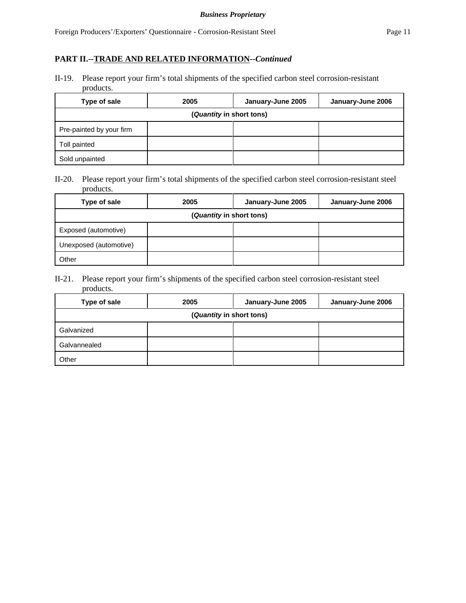II-19. Please report your firm's total shipments of the specified carbon steel corrosion-resistant products.

| Type of sale             | 2005 | January-June 2005 | January-June 2006 |  |
|--------------------------|------|-------------------|-------------------|--|
| (Quantity in short tons) |      |                   |                   |  |
| Pre-painted by your firm |      |                   |                   |  |
| Toll painted             |      |                   |                   |  |
| Sold unpainted           |      |                   |                   |  |

II-20. Please report your firm's total shipments of the specified carbon steel corrosion-resistant steel products.

| Type of sale             | 2005 | January-June 2005 | January-June 2006 |
|--------------------------|------|-------------------|-------------------|
| (Quantity in short tons) |      |                   |                   |
| Exposed (automotive)     |      |                   |                   |
| Unexposed (automotive)   |      |                   |                   |
| Other                    |      |                   |                   |

II-21. Please report your firm's shipments of the specified carbon steel corrosion-resistant steel products.

| Type of sale | 2005                     | January-June 2005 | January-June 2006 |
|--------------|--------------------------|-------------------|-------------------|
|              | (Quantity in short tons) |                   |                   |
| Galvanized   |                          |                   |                   |
| Galvannealed |                          |                   |                   |
| Other        |                          |                   |                   |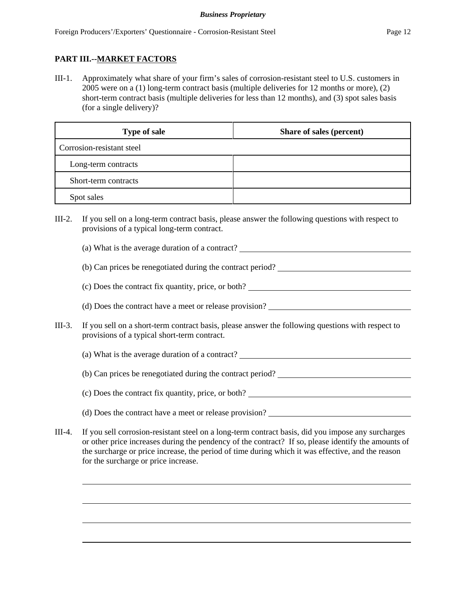# **PART III.--MARKET FACTORS**

III-1. Approximately what share of your firm's sales of corrosion-resistant steel to U.S. customers in 2005 were on a (1) long-term contract basis (multiple deliveries for 12 months or more), (2) short-term contract basis (multiple deliveries for less than 12 months), and (3) spot sales basis (for a single delivery)?

| <b>Type of sale</b>       | Share of sales (percent) |  |
|---------------------------|--------------------------|--|
| Corrosion-resistant steel |                          |  |
| Long-term contracts       |                          |  |
| Short-term contracts      |                          |  |
| Spot sales                |                          |  |

- III-2. If you sell on a long-term contract basis, please answer the following questions with respect to provisions of a typical long-term contract.
	- (a) What is the average duration of a contract?
	- (b) Can prices be renegotiated during the contract period?
	- (c) Does the contract fix quantity, price, or both?
	- (d) Does the contract have a meet or release provision?
- III-3. If you sell on a short-term contract basis, please answer the following questions with respect to provisions of a typical short-term contract.
	- (a) What is the average duration of a contract?
	- (b) Can prices be renegotiated during the contract period?
	- (c) Does the contract fix quantity, price, or both?
	- (d) Does the contract have a meet or release provision?
- III-4. If you sell corrosion-resistant steel on a long-term contract basis, did you impose any surcharges or other price increases during the pendency of the contract? If so, please identify the amounts of the surcharge or price increase, the period of time during which it was effective, and the reason for the surcharge or price increase.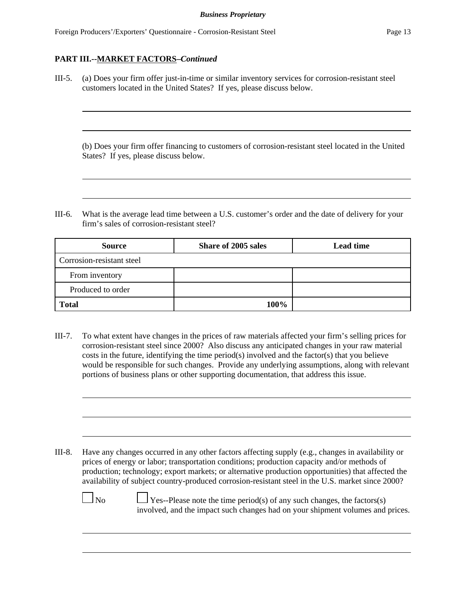III-5. (a) Does your firm offer just-in-time or similar inventory services for corrosion-resistant steel customers located in the United States? If yes, please discuss below.

(b) Does your firm offer financing to customers of corrosion-resistant steel located in the United States? If yes, please discuss below.

III-6. What is the average lead time between a U.S. customer's order and the date of delivery for your firm's sales of corrosion-resistant steel?

| <b>Source</b>             | <b>Share of 2005 sales</b> | <b>Lead time</b> |
|---------------------------|----------------------------|------------------|
| Corrosion-resistant steel |                            |                  |
| From inventory            |                            |                  |
| Produced to order         |                            |                  |
| <b>Total</b>              | 100%                       |                  |

III-7. To what extent have changes in the prices of raw materials affected your firm's selling prices for corrosion-resistant steel since 2000? Also discuss any anticipated changes in your raw material costs in the future, identifying the time period(s) involved and the factor(s) that you believe would be responsible for such changes. Provide any underlying assumptions, along with relevant portions of business plans or other supporting documentation, that address this issue.

III-8. Have any changes occurred in any other factors affecting supply (e.g., changes in availability or prices of energy or labor; transportation conditions; production capacity and/or methods of production; technology; export markets; or alternative production opportunities) that affected the availability of subject country-produced corrosion-resistant steel in the U.S. market since 2000?

 $\Box$  No  $\Box$  Yes--Please note the time period(s) of any such changes, the factors(s) involved, and the impact such changes had on your shipment volumes and prices.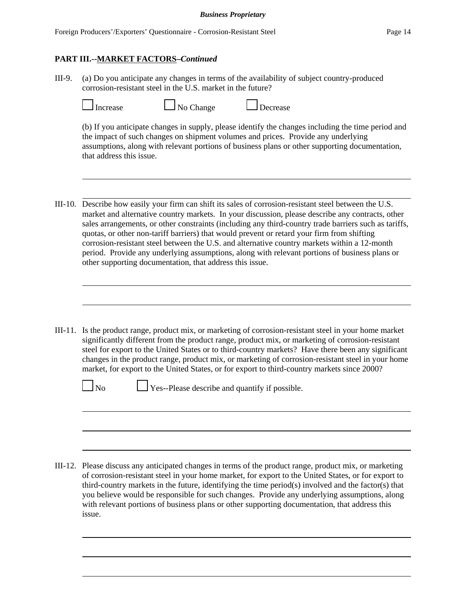III-9. (a) Do you anticipate any changes in terms of the availability of subject country-produced corrosion-resistant steel in the U.S. market in the future?

| Increa |
|--------|
|--------|

| Change |
|--------|
|        |

Increase No Change Decrease

(b) If you anticipate changes in supply, please identify the changes including the time period and the impact of such changes on shipment volumes and prices. Provide any underlying assumptions, along with relevant portions of business plans or other supporting documentation, that address this issue.

- III-10. Describe how easily your firm can shift its sales of corrosion-resistant steel between the U.S. market and alternative country markets. In your discussion, please describe any contracts, other sales arrangements, or other constraints (including any third-country trade barriers such as tariffs, quotas, or other non-tariff barriers) that would prevent or retard your firm from shifting corrosion-resistant steel between the U.S. and alternative country markets within a 12-month period. Provide any underlying assumptions, along with relevant portions of business plans or other supporting documentation, that address this issue.
- III-11. Is the product range, product mix, or marketing of corrosion-resistant steel in your home market significantly different from the product range, product mix, or marketing of corrosion-resistant steel for export to the United States or to third-country markets? Have there been any significant changes in the product range, product mix, or marketing of corrosion-resistant steel in your home market, for export to the United States, or for export to third-country markets since 2000?

 $\Box$  No  $\Box$  Yes--Please describe and quantify if possible.

III-12. Please discuss any anticipated changes in terms of the product range, product mix, or marketing of corrosion-resistant steel in your home market, for export to the United States, or for export to third-country markets in the future, identifying the time period(s) involved and the factor(s) that you believe would be responsible for such changes. Provide any underlying assumptions, along with relevant portions of business plans or other supporting documentation, that address this issue.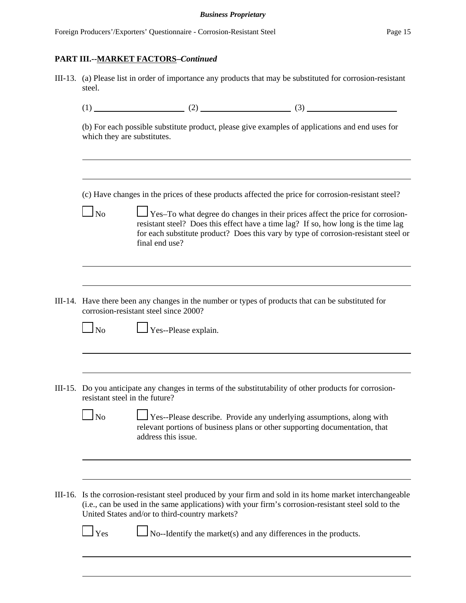III-13. (a) Please list in order of importance any products that may be substituted for corrosion-resistant steel.

|--|

(b) For each possible substitute product, please give examples of applications and end uses for which they are substitutes.

(c) Have changes in the prices of these products affected the price for corrosion-resistant steel?

- $\Box$  No  $\Box$  Yes–To what degree do changes in their prices affect the price for corrosionresistant steel? Does this effect have a time lag? If so, how long is the time lag for each substitute product? Does this vary by type of corrosion-resistant steel or final end use?
- III-14. Have there been any changes in the number or types of products that can be substituted for corrosion-resistant steel since 2000?

 $\Box$  No  $\Box$  Yes--Please explain.

III-15. Do you anticipate any changes in terms of the substitutability of other products for corrosionresistant steel in the future?

| N <sub>o</sub> | Yes--Please describe. Provide any underlying assumptions, along with        |
|----------------|-----------------------------------------------------------------------------|
|                | relevant portions of business plans or other supporting documentation, that |
|                | address this issue.                                                         |

III-16. Is the corrosion-resistant steel produced by your firm and sold in its home market interchangeable (i.e., can be used in the same applications) with your firm's corrosion-resistant steel sold to the United States and/or to third-country markets?

 $\Box$  Yes  $\Box$  No--Identify the market(s) and any differences in the products.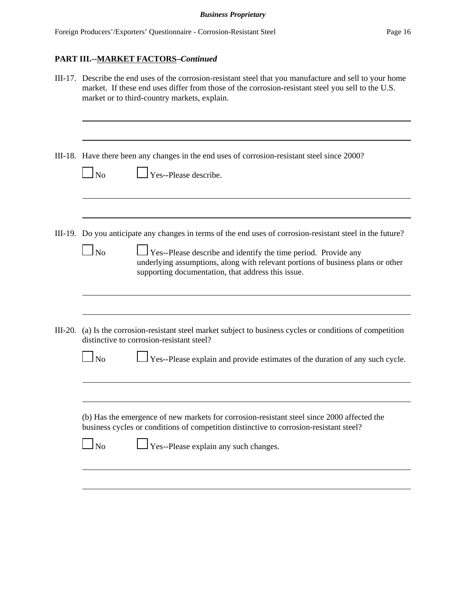| III-17. Describe the end uses of the corrosion-resistant steel that you manufacture and sell to your home<br>market. If these end uses differ from those of the corrosion-resistant steel you sell to the U.S.<br>market or to third-country markets, explain.                                                                                                                                                                                                                                                              |
|-----------------------------------------------------------------------------------------------------------------------------------------------------------------------------------------------------------------------------------------------------------------------------------------------------------------------------------------------------------------------------------------------------------------------------------------------------------------------------------------------------------------------------|
| III-18. Have there been any changes in the end uses of corrosion-resistant steel since 2000?<br>Yes--Please describe.<br>No                                                                                                                                                                                                                                                                                                                                                                                                 |
| III-19. Do you anticipate any changes in terms of the end uses of corrosion-resistant steel in the future?<br>No<br>Yes--Please describe and identify the time period. Provide any<br>underlying assumptions, along with relevant portions of business plans or other<br>supporting documentation, that address this issue.                                                                                                                                                                                                 |
| (a) Is the corrosion-resistant steel market subject to business cycles or conditions of competition<br>distinctive to corrosion-resistant steel?<br>Yes--Please explain and provide estimates of the duration of any such cycle.<br>N <sub>0</sub><br>(b) Has the emergence of new markets for corrosion-resistant steel since 2000 affected the<br>business cycles or conditions of competition distinctive to corrosion-resistant steel?<br>$\Gamma$ Yes--Please explain any such changes.<br>$\mathbf{\underline{I}}$ No |
|                                                                                                                                                                                                                                                                                                                                                                                                                                                                                                                             |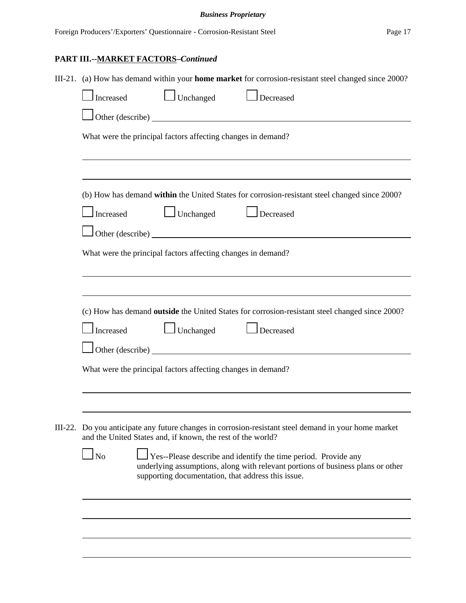|  | III-21. (a) How has demand within your home market for corrosion-resistant steel changed since 2000?                                                                                                                      |  |  |  |  |  |
|--|---------------------------------------------------------------------------------------------------------------------------------------------------------------------------------------------------------------------------|--|--|--|--|--|
|  | Unchanged<br>Increased<br>Decreased                                                                                                                                                                                       |  |  |  |  |  |
|  | Other (describe)                                                                                                                                                                                                          |  |  |  |  |  |
|  | What were the principal factors affecting changes in demand?                                                                                                                                                              |  |  |  |  |  |
|  |                                                                                                                                                                                                                           |  |  |  |  |  |
|  | (b) How has demand within the United States for corrosion-resistant steel changed since 2000?                                                                                                                             |  |  |  |  |  |
|  | $\Box$ Unchanged<br>Increased<br>Decreased                                                                                                                                                                                |  |  |  |  |  |
|  | $\int$ Other (describe)                                                                                                                                                                                                   |  |  |  |  |  |
|  | What were the principal factors affecting changes in demand?                                                                                                                                                              |  |  |  |  |  |
|  |                                                                                                                                                                                                                           |  |  |  |  |  |
|  |                                                                                                                                                                                                                           |  |  |  |  |  |
|  | (c) How has demand outside the United States for corrosion-resistant steel changed since 2000?                                                                                                                            |  |  |  |  |  |
|  | Increased<br>$\Box$ Unchanged<br>Decreased                                                                                                                                                                                |  |  |  |  |  |
|  | $\Box$ Other (describe) $\Box$                                                                                                                                                                                            |  |  |  |  |  |
|  | What were the principal factors affecting changes in demand?                                                                                                                                                              |  |  |  |  |  |
|  |                                                                                                                                                                                                                           |  |  |  |  |  |
|  |                                                                                                                                                                                                                           |  |  |  |  |  |
|  | III-22. Do you anticipate any future changes in corrosion-resistant steel demand in your home market<br>and the United States and, if known, the rest of the world?                                                       |  |  |  |  |  |
|  | N <sub>o</sub><br>Yes--Please describe and identify the time period. Provide any<br>underlying assumptions, along with relevant portions of business plans or other<br>supporting documentation, that address this issue. |  |  |  |  |  |
|  |                                                                                                                                                                                                                           |  |  |  |  |  |
|  |                                                                                                                                                                                                                           |  |  |  |  |  |
|  |                                                                                                                                                                                                                           |  |  |  |  |  |
|  |                                                                                                                                                                                                                           |  |  |  |  |  |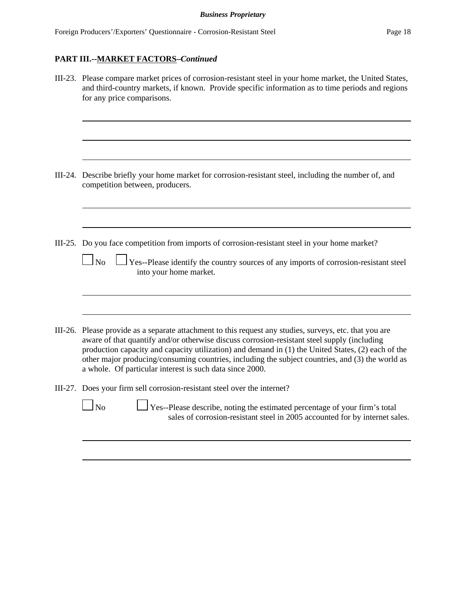| III-23. Please compare market prices of corrosion-resistant steel in your home market, the United States,<br>and third-country markets, if known. Provide specific information as to time periods and regions<br>for any price comparisons.                                                                                                                                                                                                                                  |
|------------------------------------------------------------------------------------------------------------------------------------------------------------------------------------------------------------------------------------------------------------------------------------------------------------------------------------------------------------------------------------------------------------------------------------------------------------------------------|
|                                                                                                                                                                                                                                                                                                                                                                                                                                                                              |
| III-24. Describe briefly your home market for corrosion-resistant steel, including the number of, and<br>competition between, producers.                                                                                                                                                                                                                                                                                                                                     |
|                                                                                                                                                                                                                                                                                                                                                                                                                                                                              |
| III-25. Do you face competition from imports of corrosion-resistant steel in your home market?<br>$\Box$ No $\Box$ Yes--Please identify the country sources of any imports of corrosion-resistant steel<br>into your home market.                                                                                                                                                                                                                                            |
| III-26. Please provide as a separate attachment to this request any studies, surveys, etc. that you are<br>aware of that quantify and/or otherwise discuss corrosion-resistant steel supply (including<br>production capacity and capacity utilization) and demand in (1) the United States, (2) each of the<br>other major producing/consuming countries, including the subject countries, and (3) the world as<br>a whole. Of particular interest is such data since 2000. |
| III-27. Does your firm sell corrosion-resistant steel over the internet?<br>$1_{\rm No}$<br>$\perp$ Yes--Please describe, noting the estimated percentage of your firm's total<br>sales of corrosion-resistant steel in 2005 accounted for by internet sales.                                                                                                                                                                                                                |
|                                                                                                                                                                                                                                                                                                                                                                                                                                                                              |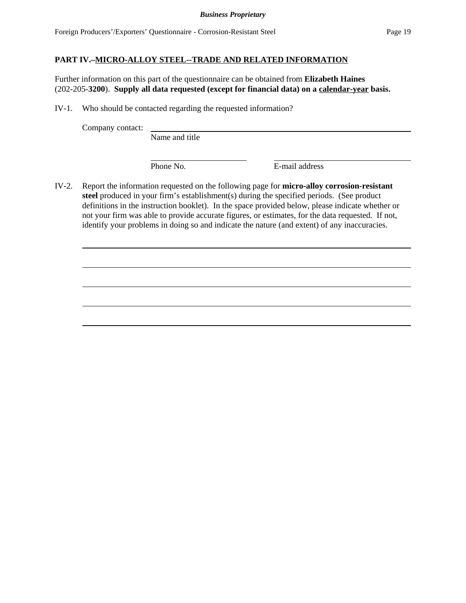## **PART IV.–MICRO-ALLOY STEEL--TRADE AND RELATED INFORMATION**

Further information on this part of the questionnaire can be obtained from **Elizabeth Haines** (202-205-**3200**). **Supply all data requested (except for financial data) on a calendar-year basis.**

IV-1. Who should be contacted regarding the requested information?

Company contact:

Name and title

Phone No. **E-mail address** 

IV-2. Report the information requested on the following page for **micro-alloy corrosion-resistant steel** produced in your firm's establishment(s) during the specified periods. (See product definitions in the instruction booklet). In the space provided below, please indicate whether or not your firm was able to provide accurate figures, or estimates, for the data requested. If not, identify your problems in doing so and indicate the nature (and extent) of any inaccuracies.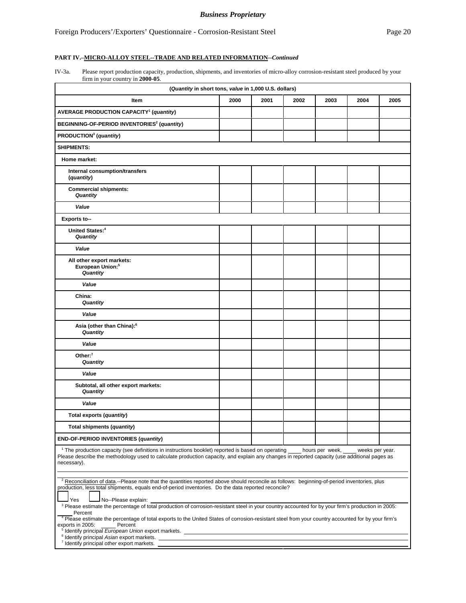#### **PART IV.–MICRO-ALLOY STEEL--TRADE AND RELATED INFORMATION--***Continued*

IV-3a. Please report production capacity, production, shipments, and inventories of micro-alloy corrosion-resistant steel produced by your firm in your country in **2000-05**.

| (Quantity in short tons, value in 1,000 U.S. dollars)                                                                                                                                                                                                                                                                                                                                                                             |      |      |      |      |      |      |  |
|-----------------------------------------------------------------------------------------------------------------------------------------------------------------------------------------------------------------------------------------------------------------------------------------------------------------------------------------------------------------------------------------------------------------------------------|------|------|------|------|------|------|--|
| Item                                                                                                                                                                                                                                                                                                                                                                                                                              | 2000 | 2001 | 2002 | 2003 | 2004 | 2005 |  |
| <b>AVERAGE PRODUCTION CAPACITY<sup>1</sup></b> (quantity)                                                                                                                                                                                                                                                                                                                                                                         |      |      |      |      |      |      |  |
| BEGINNING-OF-PERIOD INVENTORIES <sup>2</sup> (quantity)                                                                                                                                                                                                                                                                                                                                                                           |      |      |      |      |      |      |  |
| PRODUCTION <sup>3</sup> (quantity)                                                                                                                                                                                                                                                                                                                                                                                                |      |      |      |      |      |      |  |
| <b>SHIPMENTS:</b>                                                                                                                                                                                                                                                                                                                                                                                                                 |      |      |      |      |      |      |  |
| Home market:                                                                                                                                                                                                                                                                                                                                                                                                                      |      |      |      |      |      |      |  |
| Internal consumption/transfers<br>(quantity)                                                                                                                                                                                                                                                                                                                                                                                      |      |      |      |      |      |      |  |
| <b>Commercial shipments:</b><br>Quantity                                                                                                                                                                                                                                                                                                                                                                                          |      |      |      |      |      |      |  |
| Value                                                                                                                                                                                                                                                                                                                                                                                                                             |      |      |      |      |      |      |  |
| <b>Exports to--</b>                                                                                                                                                                                                                                                                                                                                                                                                               |      |      |      |      |      |      |  |
| United States: <sup>4</sup><br>Quantity                                                                                                                                                                                                                                                                                                                                                                                           |      |      |      |      |      |      |  |
| Value                                                                                                                                                                                                                                                                                                                                                                                                                             |      |      |      |      |      |      |  |
| All other export markets:<br>European Union: <sup>5</sup><br><b>Quantity</b>                                                                                                                                                                                                                                                                                                                                                      |      |      |      |      |      |      |  |
| Value                                                                                                                                                                                                                                                                                                                                                                                                                             |      |      |      |      |      |      |  |
| China:<br>Quantity                                                                                                                                                                                                                                                                                                                                                                                                                |      |      |      |      |      |      |  |
| Value                                                                                                                                                                                                                                                                                                                                                                                                                             |      |      |      |      |      |      |  |
| Asia (other than China): <sup>6</sup><br>Quantity                                                                                                                                                                                                                                                                                                                                                                                 |      |      |      |      |      |      |  |
| Value                                                                                                                                                                                                                                                                                                                                                                                                                             |      |      |      |      |      |      |  |
| Other: $7$<br>Quantity                                                                                                                                                                                                                                                                                                                                                                                                            |      |      |      |      |      |      |  |
| Value                                                                                                                                                                                                                                                                                                                                                                                                                             |      |      |      |      |      |      |  |
| Subtotal, all other export markets:<br>Quantity                                                                                                                                                                                                                                                                                                                                                                                   |      |      |      |      |      |      |  |
| Value                                                                                                                                                                                                                                                                                                                                                                                                                             |      |      |      |      |      |      |  |
| Total exports (quantity)                                                                                                                                                                                                                                                                                                                                                                                                          |      |      |      |      |      |      |  |
| Total shipments (quantity)                                                                                                                                                                                                                                                                                                                                                                                                        |      |      |      |      |      |      |  |
| END-OF-PERIOD INVENTORIES (quantity)                                                                                                                                                                                                                                                                                                                                                                                              |      |      |      |      |      |      |  |
| <sup>1</sup> The production capacity (see definitions in instructions booklet) reported is based on operating<br>hours per week,<br>weeks per year.<br>Please describe the methodology used to calculate production capacity, and explain any changes in reported capacity (use additional pages as<br>necessary).                                                                                                                |      |      |      |      |      |      |  |
| <sup>2</sup> Reconciliation of data.--Please note that the quantities reported above should reconcile as follows: beginning-of-period inventories, plus<br>production, less total shipments, equals end-of-period inventories. Do the data reported reconcile?<br>Yes<br>No--Please explain:                                                                                                                                      |      |      |      |      |      |      |  |
| <sup>3</sup> Please estimate the percentage of total production of corrosion-resistant steel in your country accounted for by your firm's production in 2005:<br>Percent<br><sup>4</sup> Please estimate the percentage of total exports to the United States of corrosion-resistant steel from your country accounted for by your firm's<br>exports in 2005:<br>Percent<br><sup>6</sup> Identify principal Asian export markets. |      |      |      |      |      |      |  |
| <sup>7</sup> Identify principal other export markets.                                                                                                                                                                                                                                                                                                                                                                             |      |      |      |      |      |      |  |